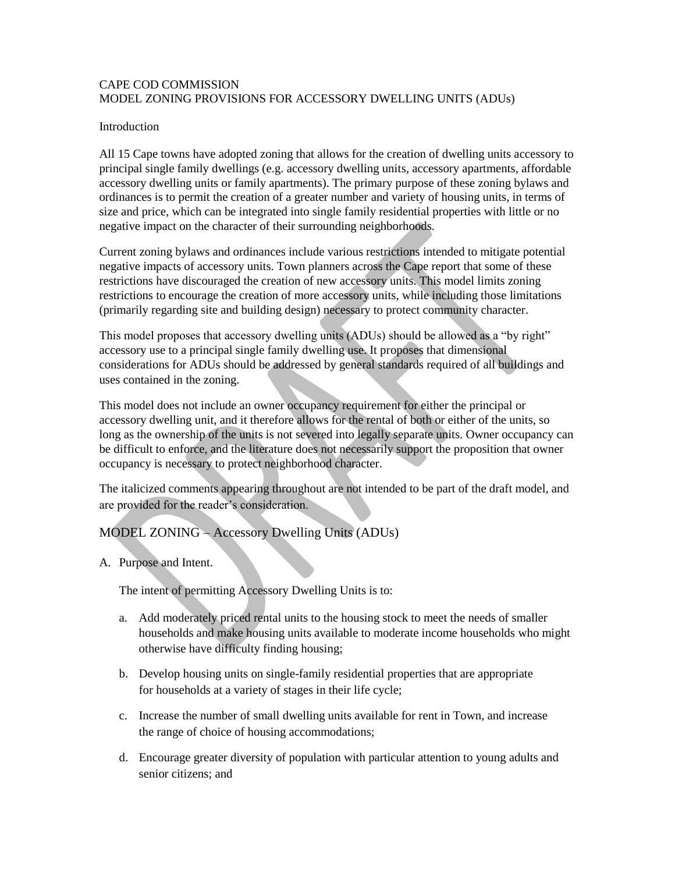### CAPE COD COMMISSION MODEL ZONING PROVISIONS FOR ACCESSORY DWELLING UNITS (ADUs)

#### **Introduction**

All 15 Cape towns have adopted zoning that allows for the creation of dwelling units accessory to principal single family dwellings (e.g. accessory dwelling units, accessory apartments, affordable accessory dwelling units or family apartments). The primary purpose of these zoning bylaws and ordinances is to permit the creation of a greater number and variety of housing units, in terms of size and price, which can be integrated into single family residential properties with little or no negative impact on the character of their surrounding neighborhoods.

Current zoning bylaws and ordinances include various restrictions intended to mitigate potential negative impacts of accessory units. Town planners across the Cape report that some of these restrictions have discouraged the creation of new accessory units. This model limits zoning restrictions to encourage the creation of more accessory units, while including those limitations (primarily regarding site and building design) necessary to protect community character.

This model proposes that accessory dwelling units (ADUs) should be allowed as a "by right" accessory use to a principal single family dwelling use. It proposes that dimensional considerations for ADUs should be addressed by general standards required of all buildings and uses contained in the zoning.

This model does not include an owner occupancy requirement for either the principal or accessory dwelling unit, and it therefore allows for the rental of both or either of the units, so long as the ownership of the units is not severed into legally separate units. Owner occupancy can be difficult to enforce, and the literature does not necessarily support the proposition that owner occupancy is necessary to protect neighborhood character.

The italicized comments appearing throughout are not intended to be part of the draft model, and are provided for the reader's consideration.

# MODEL ZONING – Accessory Dwelling Units (ADUs)

A. Purpose and Intent.

The intent of permitting Accessory Dwelling Units is to:

- a. Add moderately priced rental units to the housing stock to meet the needs of smaller households and make housing units available to moderate income households who might otherwise have difficulty finding housing;
- b. Develop housing units on single-family residential properties that are appropriate for households at a variety of stages in their life cycle;
- c. Increase the number of small dwelling units available for rent in Town, and increase the range of choice of housing accommodations;
- d. Encourage greater diversity of population with particular attention to young adults and senior citizens; and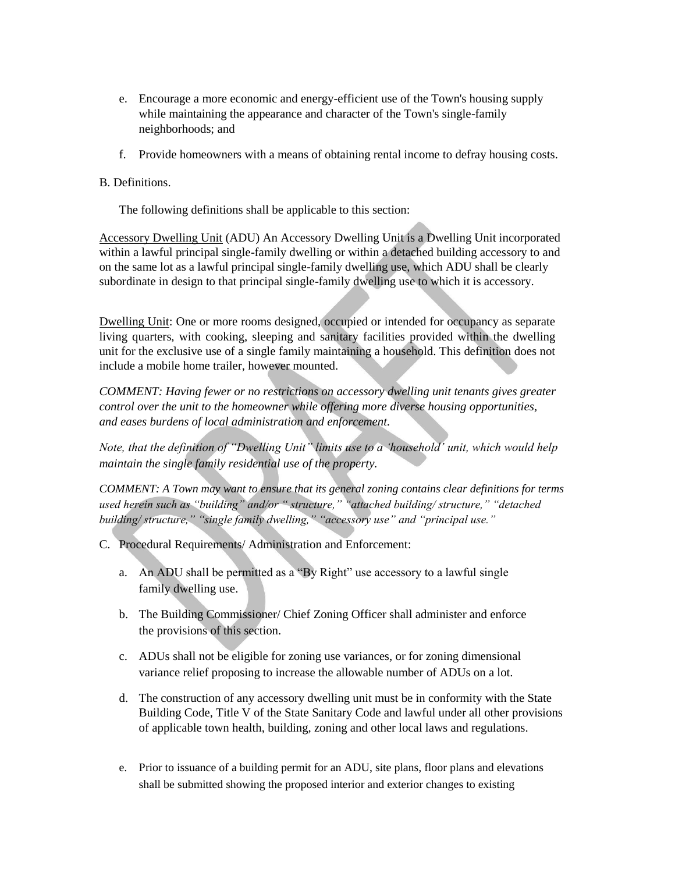- e. Encourage a more economic and energy-efficient use of the Town's housing supply while maintaining the appearance and character of the Town's single-family neighborhoods; and
- f. Provide homeowners with a means of obtaining rental income to defray housing costs.

### B. Definitions.

The following definitions shall be applicable to this section:

Accessory Dwelling Unit (ADU) An Accessory Dwelling Unit is a Dwelling Unit incorporated within a lawful principal single-family dwelling or within a detached building accessory to and on the same lot as a lawful principal single-family dwelling use, which ADU shall be clearly subordinate in design to that principal single-family dwelling use to which it is accessory.

Dwelling Unit: One or more rooms designed, occupied or intended for occupancy as separate living quarters, with cooking, sleeping and sanitary facilities provided within the dwelling unit for the exclusive use of a single family maintaining a household. This definition does not include a mobile home trailer, however mounted.

*COMMENT: Having fewer or no restrictions on accessory dwelling unit tenants gives greater control over the unit to the homeowner while offering more diverse housing opportunities, and eases burdens of local administration and enforcement.*

*Note, that the definition of "Dwelling Unit" limits use to a 'household' unit, which would help maintain the single family residential use of the property.*

*COMMENT: A Town may want to ensure that its general zoning contains clear definitions for terms used herein such as "building" and/or " structure," "attached building/ structure," "detached building/ structure," "single family dwelling," "accessory use" and "principal use."*

- C. Procedural Requirements/ Administration and Enforcement:
	- a. An ADU shall be permitted as a "By Right" use accessory to a lawful single family dwelling use.
	- b. The Building Commissioner/ Chief Zoning Officer shall administer and enforce the provisions of this section.
	- c. ADUs shall not be eligible for zoning use variances, or for zoning dimensional variance relief proposing to increase the allowable number of ADUs on a lot.
	- d. The construction of any accessory dwelling unit must be in conformity with the State Building Code, Title V of the State Sanitary Code and lawful under all other provisions of applicable town health, building, zoning and other local laws and regulations.
	- e. Prior to issuance of a building permit for an ADU, site plans, floor plans and elevations shall be submitted showing the proposed interior and exterior changes to existing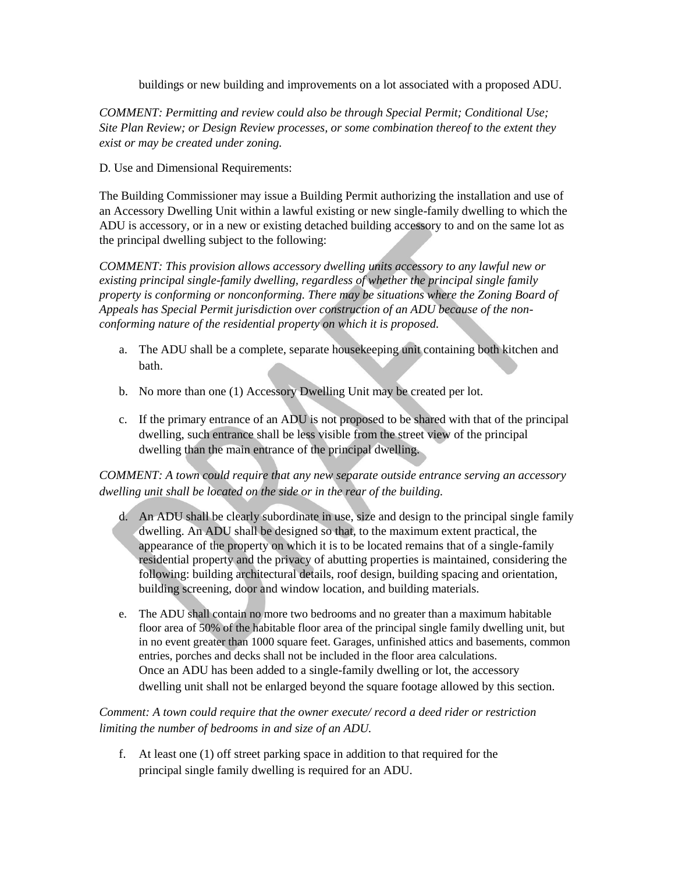buildings or new building and improvements on a lot associated with a proposed ADU.

*COMMENT: Permitting and review could also be through Special Permit; Conditional Use; Site Plan Review; or Design Review processes, or some combination thereof to the extent they exist or may be created under zoning.*

D. Use and Dimensional Requirements:

The Building Commissioner may issue a Building Permit authorizing the installation and use of an Accessory Dwelling Unit within a lawful existing or new single-family dwelling to which the ADU is accessory, or in a new or existing detached building accessory to and on the same lot as the principal dwelling subject to the following:

*COMMENT: This provision allows accessory dwelling units accessory to any lawful new or existing principal single-family dwelling, regardless of whether the principal single family property is conforming or nonconforming. There may be situations where the Zoning Board of Appeals has Special Permit jurisdiction over construction of an ADU because of the nonconforming nature of the residential property on which it is proposed.*

- a. The ADU shall be a complete, separate housekeeping unit containing both kitchen and bath.
- b. No more than one (1) Accessory Dwelling Unit may be created per lot.
- c. If the primary entrance of an ADU is not proposed to be shared with that of the principal dwelling, such entrance shall be less visible from the street view of the principal dwelling than the main entrance of the principal dwelling.

## *COMMENT: A town could require that any new separate outside entrance serving an accessory dwelling unit shall be located on the side or in the rear of the building.*

- d. An ADU shall be clearly subordinate in use, size and design to the principal single family dwelling. An ADU shall be designed so that, to the maximum extent practical, the appearance of the property on which it is to be located remains that of a single-family residential property and the privacy of abutting properties is maintained, considering the following: building architectural details, roof design, building spacing and orientation, building screening, door and window location, and building materials.
- e. The ADU shall contain no more two bedrooms and no greater than a maximum habitable floor area of 50% of the habitable floor area of the principal single family dwelling unit, but in no event greater than 1000 square feet. Garages, unfinished attics and basements, common entries, porches and decks shall not be included in the floor area calculations. Once an ADU has been added to a single-family dwelling or lot, the accessory dwelling unit shall not be enlarged beyond the square footage allowed by this section.

*Comment: A town could require that the owner execute/ record a deed rider or restriction limiting the number of bedrooms in and size of an ADU.*

f. At least one (1) off street parking space in addition to that required for the principal single family dwelling is required for an ADU.